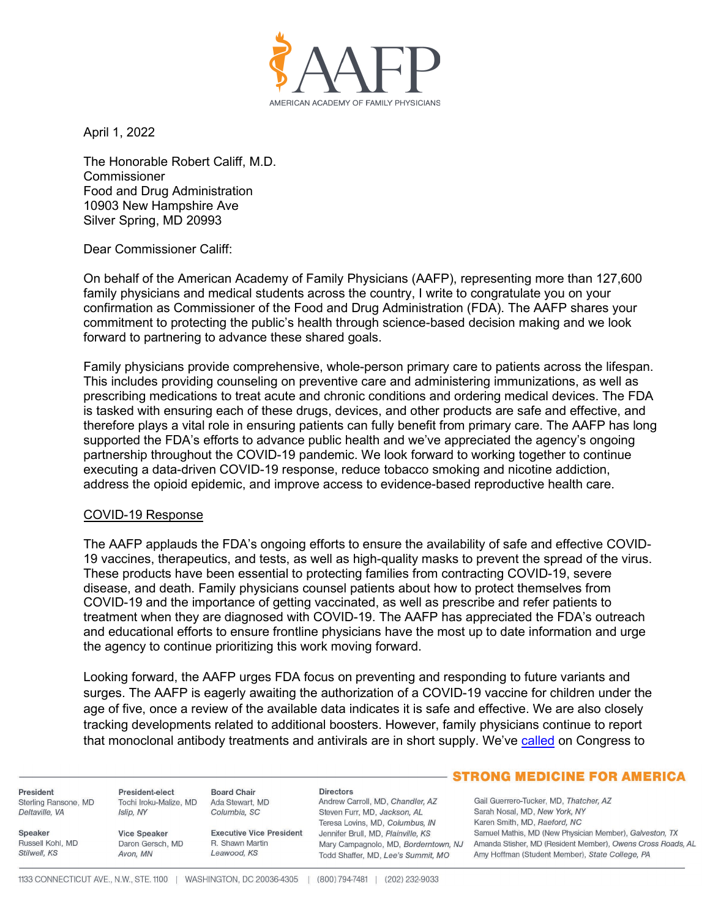

April 1, 2022

The Honorable Robert Califf, M.D. **Commissioner** Food and Drug Administration 10903 New Hampshire Ave Silver Spring, MD 20993

Dear Commissioner Califf:

On behalf of the American Academy of Family Physicians (AAFP), representing more than 127,600 family physicians and medical students across the country, I write to congratulate you on your confirmation as Commissioner of the Food and Drug Administration (FDA). The AAFP shares your commitment to protecting the public's health through science-based decision making and we look forward to partnering to advance these shared goals.

Family physicians provide comprehensive, whole-person primary care to patients across the lifespan. This includes providing counseling on preventive care and administering immunizations, as well as prescribing medications to treat acute and chronic conditions and ordering medical devices. The FDA is tasked with ensuring each of these drugs, devices, and other products are safe and effective, and therefore plays a vital role in ensuring patients can fully benefit from primary care. The AAFP has long supported the FDA's efforts to advance public health and we've appreciated the agency's ongoing partnership throughout the COVID-19 pandemic. We look forward to working together to continue executing a data-driven COVID-19 response, reduce tobacco smoking and nicotine addiction, address the opioid epidemic, and improve access to evidence-based reproductive health care.

## COVID-19 Response

The AAFP applauds the FDA's ongoing efforts to ensure the availability of safe and effective COVID-19 vaccines, therapeutics, and tests, as well as high-quality masks to prevent the spread of the virus. These products have been essential to protecting families from contracting COVID-19, severe disease, and death. Family physicians counsel patients about how to protect themselves from COVID-19 and the importance of getting vaccinated, as well as prescribe and refer patients to treatment when they are diagnosed with COVID-19. The AAFP has appreciated the FDA's outreach and educational efforts to ensure frontline physicians have the most up to date information and urge the agency to continue prioritizing this work moving forward.

Looking forward, the AAFP urges FDA focus on preventing and responding to future variants and surges. The AAFP is eagerly awaiting the authorization of a COVID-19 vaccine for children under the age of five, once a review of the available data indicates it is safe and effective. We are also closely tracking developments related to additional boosters. However, family physicians continue to report that monoclonal antibody treatments and antivirals are in short supply. We've [called on](http://www.groupof6.org/dam/AAFP/documents/advocacy/prevention/crisis/LT-G6-COVID19SupplementalFunding-032222.pdf) Congress to

President Sterling Ransone, MD Deltaville, VA

Russell Kohl, MD

Speaker

Stilwell, KS

President-elect Tochi Iroku-Malize, MD Islip, NY

Avon, MN

Columbia, SC **Vice Speaker** Daron Gersch, MD

**Executive Vice President** R. Shawn Martin Leawood, KS

**Directors** Andrew Carroll, MD, Chandler, AZ Steven Furr, MD, Jackson, AL Teresa Lovins, MD, Columbus, IN Jennifer Brull, MD, Plainville, KS Mary Campagnolo, MD, Borderntown, NJ Todd Shaffer, MD, Lee's Summit, MO

## - STRONG MEDICINE FOR AMERICA

Gail Guerrero-Tucker, MD, Thatcher, AZ Sarah Nosal, MD, New York, NY Karen Smith, MD, Raeford, NC Samuel Mathis, MD (New Physician Member), Galveston, TX Amanda Stisher, MD (Resident Member), Owens Cross Roads, AL Amy Hoffman (Student Member), State College, PA

**Board Chair** 

Ada Stewart, MD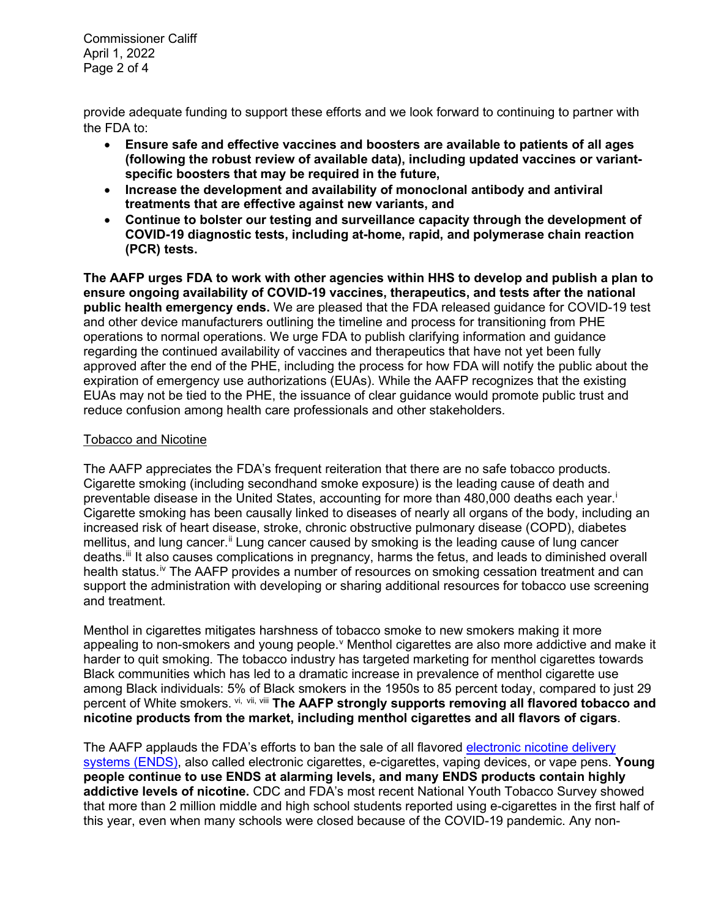Commissioner Califf April 1, 2022 Page 2 of 4

provide adequate funding to support these efforts and we look forward to continuing to partner with the FDA to:

- **Ensure safe and effective vaccines and boosters are available to patients of all ages (following the robust review of available data), including updated vaccines or variantspecific boosters that may be required in the future,**
- **Increase the development and availability of monoclonal antibody and antiviral treatments that are effective against new variants, and**
- **Continue to bolster our testing and surveillance capacity through the development of COVID-19 diagnostic tests, including at-home, rapid, and polymerase chain reaction (PCR) tests.**

**The AAFP urges FDA to work with other agencies within HHS to develop and publish a plan to ensure ongoing availability of COVID-19 vaccines, therapeutics, and tests after the national public health emergency ends.** We are pleased that the FDA released guidance for COVID-19 test and other device manufacturers outlining the timeline and process for transitioning from PHE operations to normal operations. We urge FDA to publish clarifying information and guidance regarding the continued availability of vaccines and therapeutics that have not yet been fully approved after the end of the PHE, including the process for how FDA will notify the public about the expiration of emergency use authorizations (EUAs). While the AAFP recognizes that the existing EUAs may not be tied to the PHE, the issuance of clear guidance would promote public trust and reduce confusion among health care professionals and other stakeholders.

# Tobacco and Nicotine

The AAFP appreciates the FDA's frequent reiteration that there are no safe tobacco products. Cigarette smoking (including secondhand smoke exposure) is the leading cause of death and preventable disease in the United States, accounting for more than 480,000 deaths each year. [i](#page-3-0) Cigarette smoking has been causally linked to diseases of nearly all organs of the body, including an increased risk of heart disease, stroke, chronic obstructive pulmonary disease (COPD), diabetes mellitus, and lung cancer.<sup>[ii](#page-3-1)</sup> Lung cancer caused by smoking is the leading cause of lung cancer deaths.[iii](#page-3-2) It also causes complications in pregnancy, harms the fetus, and leads to diminished overall health status.<sup>[iv](#page-3-3)</sup> The AAFP provides a number of resources on smoking cessation treatment and can support the administration with developing or sharing additional resources for tobacco use screening and treatment.

Menthol in cigarettes mitigates harshness of tobacco smoke to new smokers making it more appealing to non-smokers and young people. VMenthol cigarettes are also more addicti[v](#page-3-4)e and make it harder to quit smoking. The tobacco industry has targeted marketing for menthol cigarettes towards Black communities which has led to a dramatic increase in prevalence of menthol cigarette use among Black individuals: 5% of Black smokers in the 1950s to 85 percent today, compared to just 29 percent of White smokers. [vi](#page-3-5), [vii](#page-3-6), [viii](#page-3-7) **The AAFP strongly supports removing all flavored tobacco and nicotine products from the market, including menthol cigarettes and all flavors of cigars**.

The AAFP applauds the FDA's efforts to ban the sale of all flavored [electronic nicotine d](https://www.aafp.org/about/policies/all/electronic-nicotine-delivery-systems.html#:%7E:text=Electronic%20nicotine%20delivery%20systems%20(ENDS)%2C%20also%20called%20electronic%20cigarettes,solution%20which%20usually%20contains%20nicotine.)elivery systems (ENDS), also called electronic cigarettes, e-cigarettes, vaping devices, or vape pens. **Young people continue to use ENDS at alarming levels, and many ENDS products contain highly addictive levels of nicotine.** CDC and FDA's most recent National Youth Tobacco Survey showed that more than 2 million middle and high school students reported using e-cigarettes in the first half of this year, even when many schools were closed because of the COVID-19 pandemic. Any non-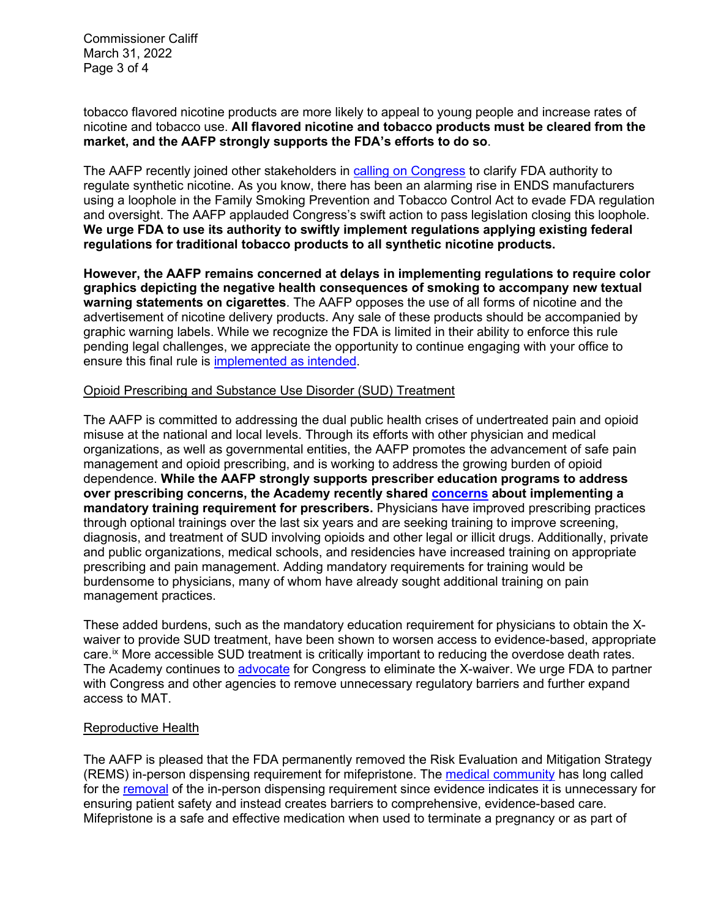Commissioner Califf March 31, 2022 Page 3 of 4

tobacco flavored nicotine products are more likely to appeal to young people and increase rates of nicotine and tobacco use. **All flavored nicotine and tobacco products must be cleared from the market, and the AAFP strongly supports the FDA's efforts to do so**.

The AAFP recently joined other stakeholders in [calling on Congress](https://www.aafp.org/dam/AAFP/documents/advocacy/prevention/tobacco/LT-Congress-SyntheticNicotine-030722.pdf) to clarify FDA authority to regulate synthetic nicotine. As you know, there has been an alarming rise in ENDS manufacturers using a loophole in the Family Smoking Prevention and Tobacco Control Act to evade FDA regulation and oversight. The AAFP applauded Congress's swift action to pass legislation closing this loophole. **We urge FDA to use its authority to swiftly implement regulations applying existing federal regulations for traditional tobacco products to all synthetic nicotine products.** 

**However, the AAFP remains concerned at delays in implementing regulations to require color graphics depicting the negative health consequences of smoking to accompany new textual warning statements on cigarettes**. The AAFP opposes the use of all forms of nicotine and the advertisement of nicotine delivery products. Any sale of these products should be accompanied by graphic warning labels. While we recognize the FDA is limited in their ability to enforce this rule pending legal challenges, we appreciate the opportunity to continue engaging with your office to ensure this final rule is [implemented as intended.](https://www.aafp.org/dam/AAFP/documents/advocacy/prevention/tobacco/LT-FDA-HHS-GraphicalWarnings-100119.pdf)

## Opioid Prescribing and Substance Use Disorder (SUD) Treatment

The AAFP is committed to addressing the dual public health crises of undertreated pain and opioid misuse at the national and local levels. Through its efforts with other physician and medical organizations, as well as governmental entities, the AAFP promotes the advancement of safe pain management and opioid prescribing, and is working to address the growing burden of opioid dependence. **While the AAFP strongly supports prescriber education programs to address over prescribing concerns, the Academy recently shared [concerns](https://www.aafp.org/dam/AAFP/documents/advocacy/prevention/risk/LT-FDA-MandatoryOpioidPrescriberEducation-120221.pdf) about implementing a mandatory training requirement for prescribers.** Physicians have improved prescribing practices through optional trainings over the last six years and are seeking training to improve screening, diagnosis, and treatment of SUD involving opioids and other legal or illicit drugs. Additionally, private and public organizations, medical schools, and residencies have increased training on appropriate prescribing and pain management. Adding mandatory requirements for training would be burdensome to physicians, many of whom have already sought additional training on pain management practices.

These added burdens, such as the mandatory education requirement for physicians to obtain the Xwaiver to provide SUD treatment, have been shown to worsen access to evidence-based, appropriate care.<sup>[ix](#page-3-8)</sup> More accessible SUD treatment is critically important to reducing the overdose death rates. The Academy continues to [advocate](https://www.aafp.org/dam/AAFP/documents/advocacy/prevention/TS-SenateHELP-MentalHealthSUDHearing-020122.pdf) for Congress to eliminate the X-waiver. We urge FDA to partner with Congress and other agencies to remove unnecessary regulatory barriers and further expand access to MAT.

## Reproductive Health

The AAFP is pleased that the FDA permanently removed the Risk Evaluation and Mitigation Strategy (REMS) in-person dispensing requirement for mifepristone. The [medical community](https://www.aafp.org/dam/AAFP/documents/advocacy/prevention/women/LT-WH-Mifepristone-030121.pdf) has long called for the [removal](https://www.aafp.org/dam/AAFP/documents/advocacy/prevention/women/LT-FDA-MifepristoneREMS-062019.pdf) of the in-person dispensing requirement since evidence indicates it is unnecessary for ensuring patient safety and instead creates barriers to comprehensive, evidence-based care. Mifepristone is a safe and effective medication when used to terminate a pregnancy or as part of